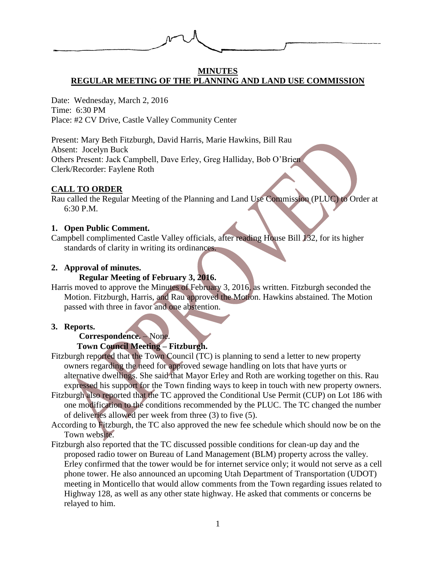

#### **MINUTES REGULAR MEETING OF THE PLANNING AND LAND USE COMMISSION**

Date: Wednesday, March 2, 2016 Time: 6:30 PM Place: #2 CV Drive, Castle Valley Community Center

Present: Mary Beth Fitzburgh, David Harris, Marie Hawkins, Bill Rau Absent: Jocelyn Buck Others Present: Jack Campbell, Dave Erley, Greg Halliday, Bob O'Brien Clerk/Recorder: Faylene Roth

# **CALL TO ORDER**

Rau called the Regular Meeting of the Planning and Land Use Commission (PLUC) to Order at 6:30 P.M.

### **1. Open Public Comment.**

Campbell complimented Castle Valley officials, after reading House Bill 132, for its higher standards of clarity in writing its ordinances.

### **2. Approval of minutes.**

### **Regular Meeting of February 3, 2016.**

Harris moved to approve the Minutes of February 3, 2016, as written. Fitzburgh seconded the Motion. Fitzburgh, Harris, and Rau approved the Motion. Hawkins abstained. The Motion passed with three in favor and one abstention.

#### **3. Reports.**

### **Correspondence.** – None.

# **Town Council Meeting – Fitzburgh.**

- Fitzburgh reported that the Town Council (TC) is planning to send a letter to new property owners regarding the need for approved sewage handling on lots that have yurts or alternative dwellings. She said that Mayor Erley and Roth are working together on this. Rau expressed his support for the Town finding ways to keep in touch with new property owners.
- Fitzburgh also reported that the TC approved the Conditional Use Permit (CUP) on Lot 186 with one modification to the conditions recommended by the PLUC. The TC changed the number of deliveries allowed per week from three (3) to five (5).
- According to Fitzburgh, the TC also approved the new fee schedule which should now be on the Town website.
- Fitzburgh also reported that the TC discussed possible conditions for clean-up day and the proposed radio tower on Bureau of Land Management (BLM) property across the valley. Erley confirmed that the tower would be for internet service only; it would not serve as a cell phone tower. He also announced an upcoming Utah Department of Transportation (UDOT) meeting in Monticello that would allow comments from the Town regarding issues related to Highway 128, as well as any other state highway. He asked that comments or concerns be relayed to him.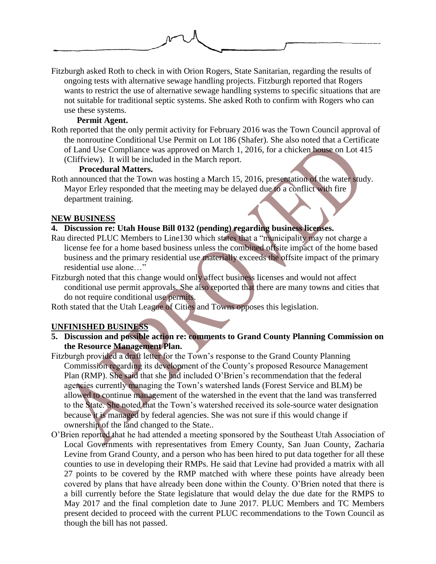

Fitzburgh asked Roth to check in with Orion Rogers, State Sanitarian, regarding the results of ongoing tests with alternative sewage handling projects. Fitzburgh reported that Rogers wants to restrict the use of alternative sewage handling systems to specific situations that are not suitable for traditional septic systems. She asked Roth to confirm with Rogers who can use these systems.

# **Permit Agent.**

Roth reported that the only permit activity for February 2016 was the Town Council approval of the nonroutine Conditional Use Permit on Lot 186 (Shafer). She also noted that a Certificate of Land Use Compliance was approved on March 1, 2016, for a chicken house on Lot 415 (Cliffview). It will be included in the March report.

# **Procedural Matters.**

Roth announced that the Town was hosting a March 15, 2016, presentation of the water study. Mayor Erley responded that the meeting may be delayed due to a conflict with fire department training.

# **NEW BUSINESS**

# **4. Discussion re: Utah House Bill 0132 (pending) regarding business licenses.**

- Rau directed PLUC Members to Line130 which states that a "municipality may not charge a license fee for a home based business unless the combined offsite impact of the home based business and the primary residential use materially exceeds the offsite impact of the primary residential use alone…"
- Fitzburgh noted that this change would only affect business licenses and would not affect conditional use permit approvals. She also reported that there are many towns and cities that do not require conditional use permits.

Roth stated that the Utah League of Cities and Towns opposes this legislation.

# **UNFINISHED BUSINESS**

- **5. Discussion and possible action re: comments to Grand County Planning Commission on the Resource Management Plan.**
- Fitzburgh provided a draft letter for the Town's response to the Grand County Planning Commission regarding its development of the County's proposed Resource Management Plan (RMP). She said that she had included O'Brien's recommendation that the federal agencies currently managing the Town's watershed lands (Forest Service and BLM) be allowed to continue management of the watershed in the event that the land was transferred to the State. She noted that the Town's watershed received its sole-source water designation because it is managed by federal agencies. She was not sure if this would change if ownership of the land changed to the State..
- O'Brien reported that he had attended a meeting sponsored by the Southeast Utah Association of Local Governments with representatives from Emery County, San Juan County, Zacharia Levine from Grand County, and a person who has been hired to put data together for all these counties to use in developing their RMPs. He said that Levine had provided a matrix with all 27 points to be covered by the RMP matched with where these points have already been covered by plans that have already been done within the County. O'Brien noted that there is a bill currently before the State legislature that would delay the due date for the RMPS to May 2017 and the final completion date to June 2017. PLUC Members and TC Members present decided to proceed with the current PLUC recommendations to the Town Council as though the bill has not passed.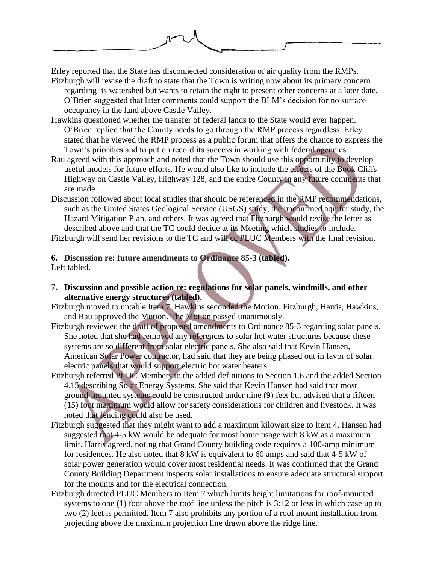

Erley reported that the State has disconnected consideration of air quality from the RMPs. Fitzburgh will revise the draft to state that the Town is writing now about its primary concern

regarding its watershed but wants to retain the right to present other concerns at a later date. O'Brien suggested that later comments could support the BLM's decision for no surface occupancy in the land above Castle Valley.

- Hawkins questioned whether the transfer of federal lands to the State would ever happen. O'Brien replied that the County needs to go through the RMP process regardless. Erley stated that he viewed the RMP process as a public forum that offers the chance to express the Town's priorities and to put on record its success in working with federal agencies.
- Rau agreed with this approach and noted that the Town should use this opportunity to develop useful models for future efforts. He would also like to include the effects of the Book Cliffs Highway on Castle Valley, Highway 128, and the entire County in any future comments that are made.
- Discussion followed about local studies that should be referenced in the RMP recommendations, such as the United States Geological Service (USGS) study, the unconfined aquifer study, the Hazard Mitigation Plan, and others. It was agreed that Fitzburgh would revise the letter as described above and that the TC could decide at its Meeting which studies to include. Fitzburgh will send her revisions to the TC and will cc PLUC Members with the final revision.

# **6. Discussion re: future amendments to Ordinance 85-3 (tabled).**

Left tabled.

**7. Discussion and possible action re: regulations for solar panels, windmills, and other alternative energy structures (tabled).** 

Fitzburgh moved to untable Item 7. Hawkins seconded the Motion. Fitzburgh, Harris, Hawkins, and Rau approved the Motion. The Motion passed unanimously.

- Fitzburgh reviewed the draft of proposed amendments to Ordinance 85-3 regarding solar panels. She noted that she had removed any references to solar hot water structures because these systems are so different from solar electric panels. She also said that Kevin Hansen, American Solar Power contractor, had said that they are being phased out in favor of solar electric panels that would support electric hot water heaters.
- Fitzburgh referred PLUC Members to the added definitions to Section 1.6 and the added Section 4.15 describing Solar Energy Systems. She said that Kevin Hansen had said that most ground-mounted systems could be constructed under nine (9) feet but advised that a fifteen (15) foot maximum would allow for safety considerations for children and livestock. It was noted that fencing could also be used.
- Fitzburgh suggested that they might want to add a maximum kilowatt size to Item 4. Hansen had suggested that 4-5 kW would be adequate for most home usage with 8 kW as a maximum limit. Harris agreed, noting that Grand County building code requires a 100-amp minimum for residences. He also noted that 8 kW is equivalent to 60 amps and said that 4-5 kW of solar power generation would cover most residential needs. It was confirmed that the Grand County Building Department inspects solar installations to ensure adequate structural support for the mounts and for the electrical connection.
- Fitzburgh directed PLUC Members to Item 7 which limits height limitations for roof-mounted systems to one (1) foot above the roof line unless the pitch is 3:12 or less in which case up to two (2) feet is permitted. Item 7 also prohibits any portion of a roof mount installation from projecting above the maximum projection line drawn above the ridge line.